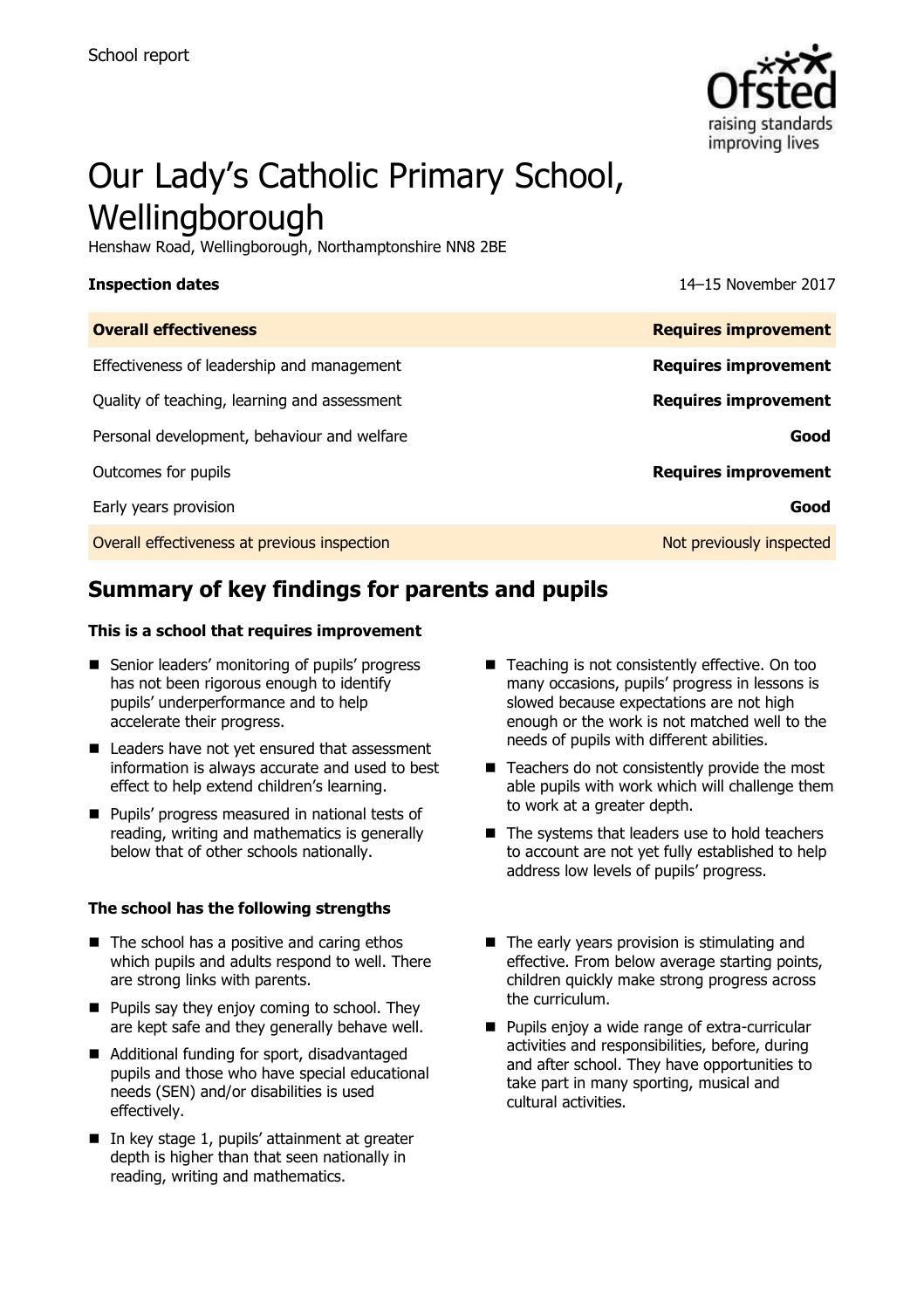

# Our Lady's Catholic Primary School, Wellingborough

Henshaw Road, Wellingborough, Northamptonshire NN8 2BE

**Inspection dates** 14–15 November 2017

| <b>Overall effectiveness</b>                 | <b>Requires improvement</b> |
|----------------------------------------------|-----------------------------|
| Effectiveness of leadership and management   | <b>Requires improvement</b> |
| Quality of teaching, learning and assessment | <b>Requires improvement</b> |
| Personal development, behaviour and welfare  | Good                        |
| Outcomes for pupils                          | <b>Requires improvement</b> |
| Early years provision                        | Good                        |
| Overall effectiveness at previous inspection | Not previously inspected    |

# **Summary of key findings for parents and pupils**

### **This is a school that requires improvement**

- Senior leaders' monitoring of pupils' progress has not been rigorous enough to identify pupils' underperformance and to help accelerate their progress.
- Leaders have not yet ensured that assessment information is always accurate and used to best effect to help extend children's learning.
- **Pupils' progress measured in national tests of** reading, writing and mathematics is generally below that of other schools nationally.

### **The school has the following strengths**

- $\blacksquare$  The school has a positive and caring ethos which pupils and adults respond to well. There are strong links with parents.
- $\blacksquare$  Pupils say they enjoy coming to school. They are kept safe and they generally behave well.
- Additional funding for sport, disadvantaged pupils and those who have special educational needs (SEN) and/or disabilities is used effectively.
- In key stage 1, pupils' attainment at greater depth is higher than that seen nationally in reading, writing and mathematics.
- Teaching is not consistently effective. On too many occasions, pupils' progress in lessons is slowed because expectations are not high enough or the work is not matched well to the needs of pupils with different abilities.
- $\blacksquare$  Teachers do not consistently provide the most able pupils with work which will challenge them to work at a greater depth.
- $\blacksquare$  The systems that leaders use to hold teachers to account are not yet fully established to help address low levels of pupils' progress.
- $\blacksquare$  The early years provision is stimulating and effective. From below average starting points, children quickly make strong progress across the curriculum.
- **Pupils enjoy a wide range of extra-curricular** activities and responsibilities, before, during and after school. They have opportunities to take part in many sporting, musical and cultural activities.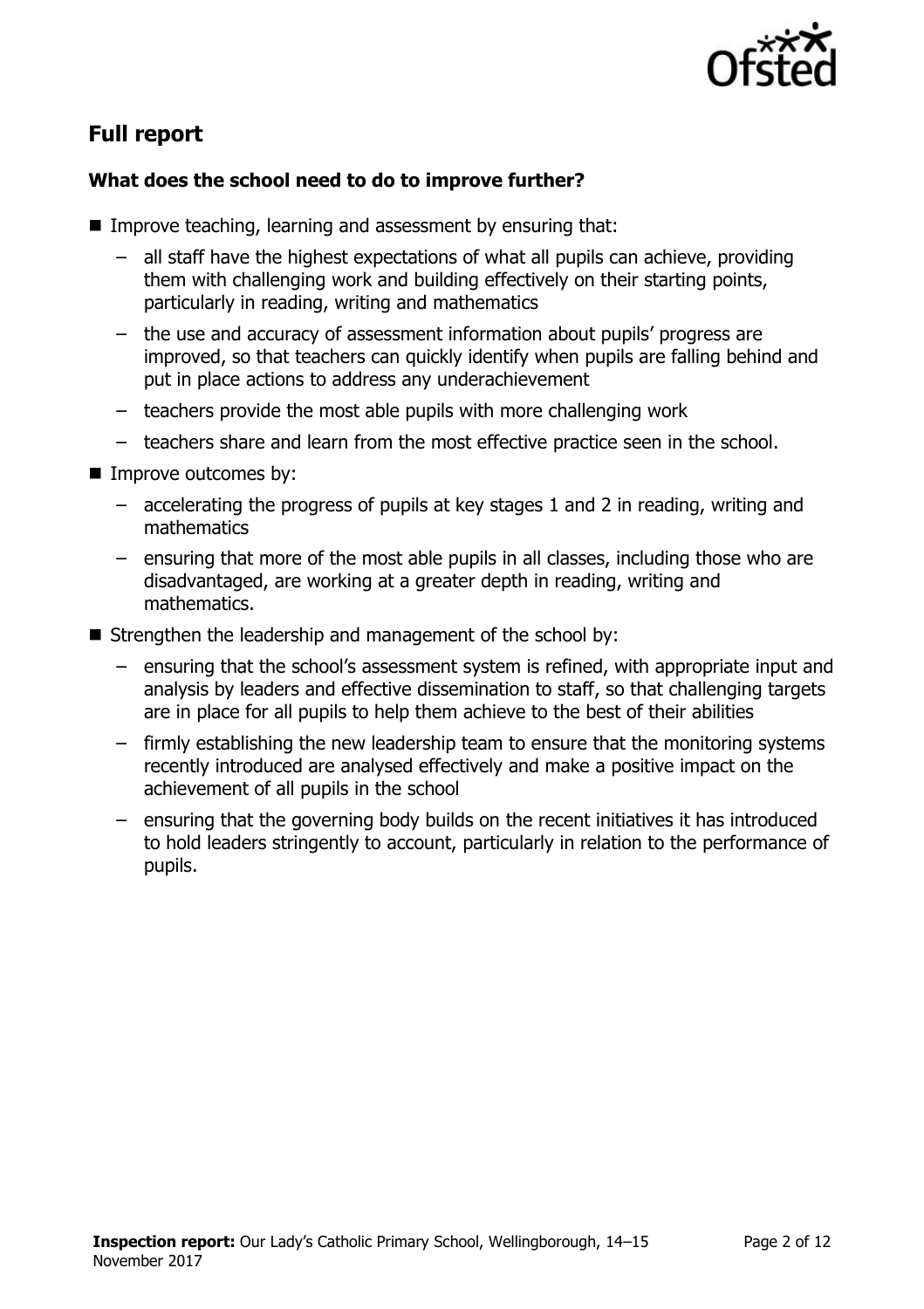

# **Full report**

### **What does the school need to do to improve further?**

- **IMPROVE teaching, learning and assessment by ensuring that:** 
	- all staff have the highest expectations of what all pupils can achieve, providing them with challenging work and building effectively on their starting points, particularly in reading, writing and mathematics
	- the use and accuracy of assessment information about pupils' progress are improved, so that teachers can quickly identify when pupils are falling behind and put in place actions to address any underachievement
	- teachers provide the most able pupils with more challenging work
	- teachers share and learn from the most effective practice seen in the school.
- **Improve outcomes by:** 
	- accelerating the progress of pupils at key stages 1 and 2 in reading, writing and mathematics
	- ensuring that more of the most able pupils in all classes, including those who are disadvantaged, are working at a greater depth in reading, writing and mathematics.
- Strengthen the leadership and management of the school by:
	- ensuring that the school's assessment system is refined, with appropriate input and analysis by leaders and effective dissemination to staff, so that challenging targets are in place for all pupils to help them achieve to the best of their abilities
	- firmly establishing the new leadership team to ensure that the monitoring systems recently introduced are analysed effectively and make a positive impact on the achievement of all pupils in the school
	- ensuring that the governing body builds on the recent initiatives it has introduced to hold leaders stringently to account, particularly in relation to the performance of pupils.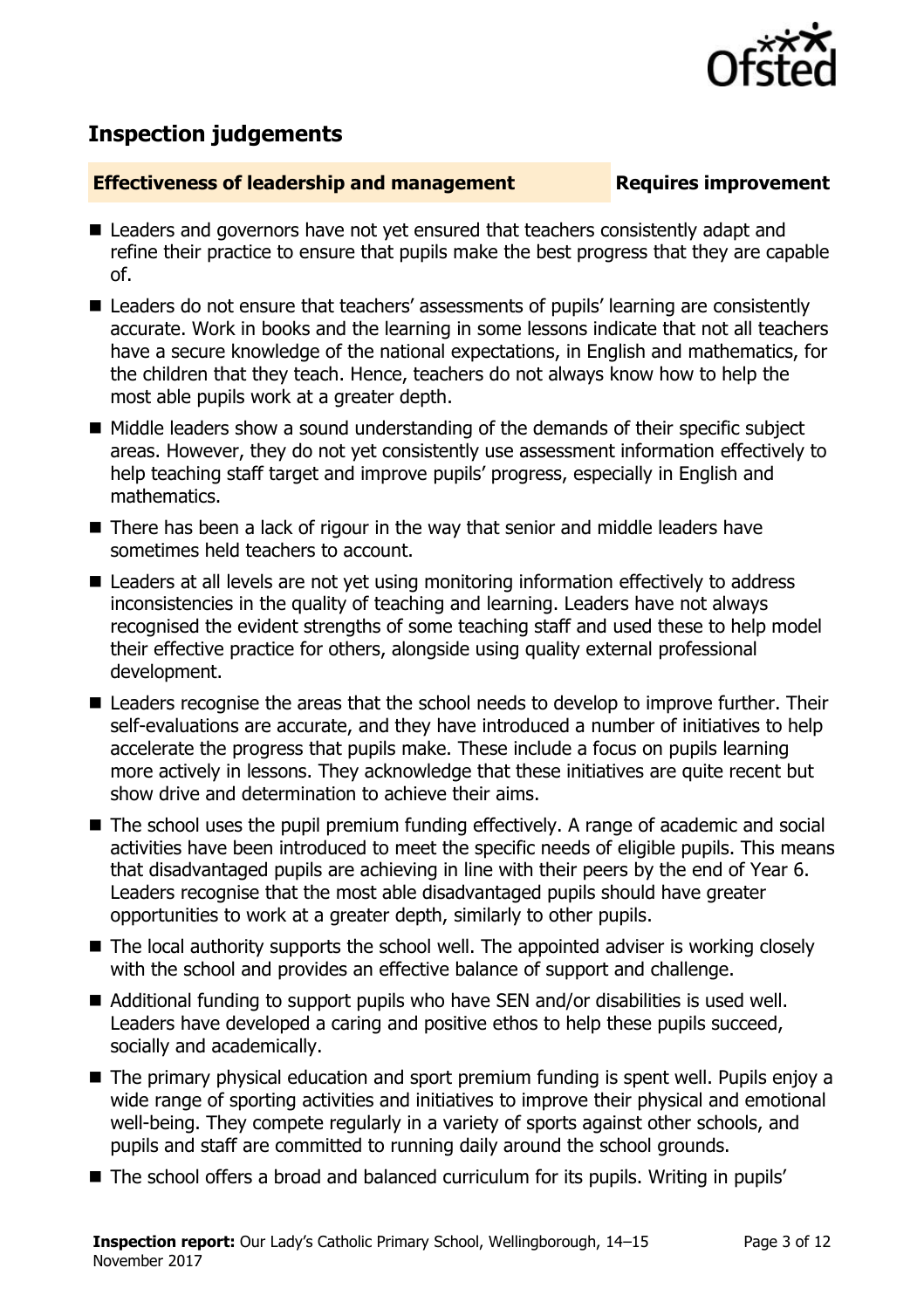

# **Inspection judgements**

### **Effectiveness of leadership and management Requires improvement**

- Leaders and governors have not vet ensured that teachers consistently adapt and refine their practice to ensure that pupils make the best progress that they are capable of.
- Leaders do not ensure that teachers' assessments of pupils' learning are consistently accurate. Work in books and the learning in some lessons indicate that not all teachers have a secure knowledge of the national expectations, in English and mathematics, for the children that they teach. Hence, teachers do not always know how to help the most able pupils work at a greater depth.
- Middle leaders show a sound understanding of the demands of their specific subject areas. However, they do not yet consistently use assessment information effectively to help teaching staff target and improve pupils' progress, especially in English and mathematics.
- There has been a lack of rigour in the way that senior and middle leaders have sometimes held teachers to account.
- Leaders at all levels are not yet using monitoring information effectively to address inconsistencies in the quality of teaching and learning. Leaders have not always recognised the evident strengths of some teaching staff and used these to help model their effective practice for others, alongside using quality external professional development.
- Leaders recognise the areas that the school needs to develop to improve further. Their self-evaluations are accurate, and they have introduced a number of initiatives to help accelerate the progress that pupils make. These include a focus on pupils learning more actively in lessons. They acknowledge that these initiatives are quite recent but show drive and determination to achieve their aims.
- The school uses the pupil premium funding effectively. A range of academic and social activities have been introduced to meet the specific needs of eligible pupils. This means that disadvantaged pupils are achieving in line with their peers by the end of Year 6. Leaders recognise that the most able disadvantaged pupils should have greater opportunities to work at a greater depth, similarly to other pupils.
- The local authority supports the school well. The appointed adviser is working closely with the school and provides an effective balance of support and challenge.
- Additional funding to support pupils who have SEN and/or disabilities is used well. Leaders have developed a caring and positive ethos to help these pupils succeed, socially and academically.
- The primary physical education and sport premium funding is spent well. Pupils enjoy a wide range of sporting activities and initiatives to improve their physical and emotional well-being. They compete regularly in a variety of sports against other schools, and pupils and staff are committed to running daily around the school grounds.
- The school offers a broad and balanced curriculum for its pupils. Writing in pupils'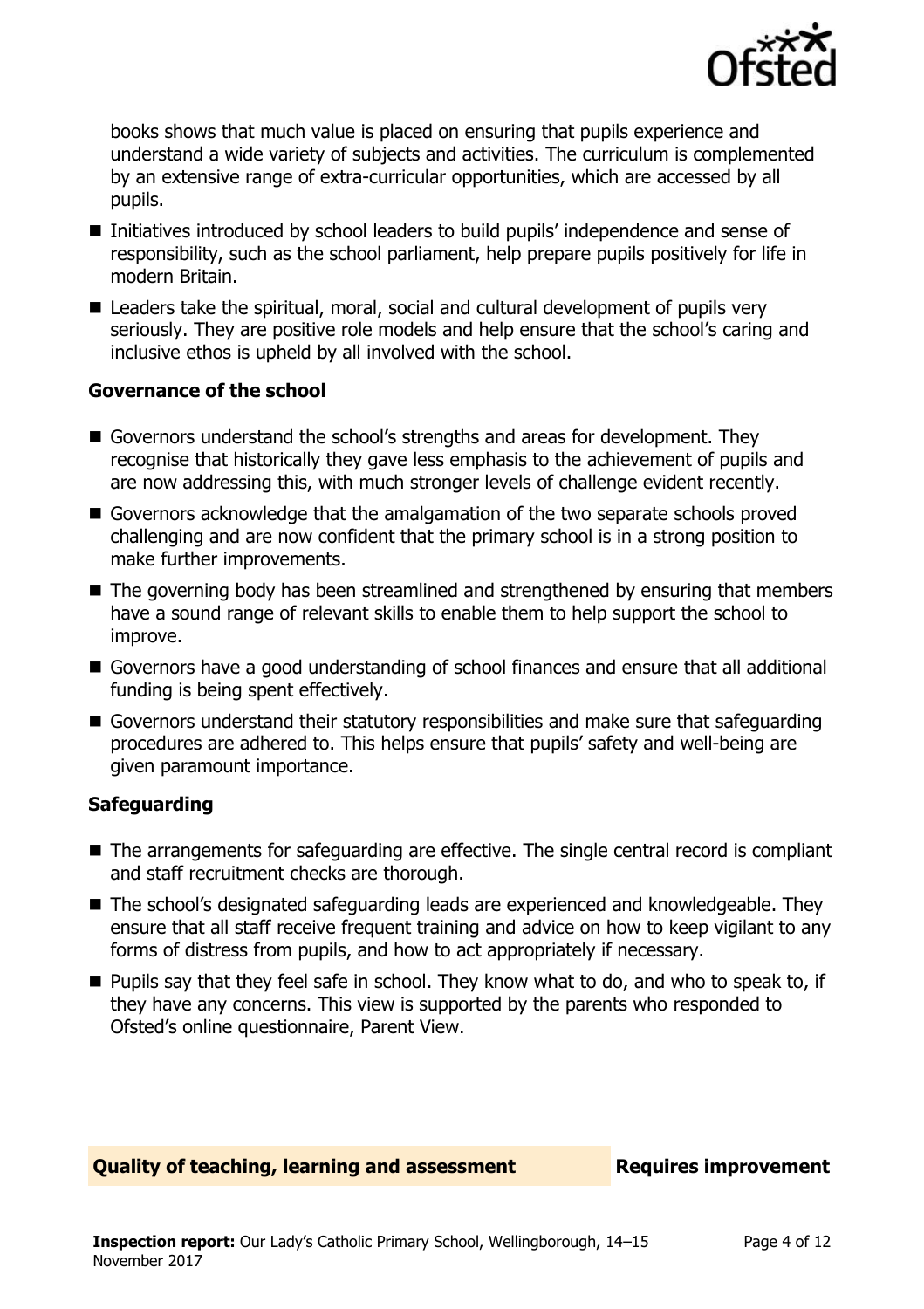

books shows that much value is placed on ensuring that pupils experience and understand a wide variety of subjects and activities. The curriculum is complemented by an extensive range of extra-curricular opportunities, which are accessed by all pupils.

- Initiatives introduced by school leaders to build pupils' independence and sense of responsibility, such as the school parliament, help prepare pupils positively for life in modern Britain.
- Leaders take the spiritual, moral, social and cultural development of pupils very seriously. They are positive role models and help ensure that the school's caring and inclusive ethos is upheld by all involved with the school.

### **Governance of the school**

- Governors understand the school's strengths and areas for development. They recognise that historically they gave less emphasis to the achievement of pupils and are now addressing this, with much stronger levels of challenge evident recently.
- Governors acknowledge that the amalgamation of the two separate schools proved challenging and are now confident that the primary school is in a strong position to make further improvements.
- The governing body has been streamlined and strengthened by ensuring that members have a sound range of relevant skills to enable them to help support the school to improve.
- Governors have a good understanding of school finances and ensure that all additional funding is being spent effectively.
- Governors understand their statutory responsibilities and make sure that safeguarding procedures are adhered to. This helps ensure that pupils' safety and well-being are given paramount importance.

### **Safeguarding**

- The arrangements for safeguarding are effective. The single central record is compliant and staff recruitment checks are thorough.
- The school's designated safeguarding leads are experienced and knowledgeable. They ensure that all staff receive frequent training and advice on how to keep vigilant to any forms of distress from pupils, and how to act appropriately if necessary.
- **Pupils say that they feel safe in school. They know what to do, and who to speak to, if** they have any concerns. This view is supported by the parents who responded to Ofsted's online questionnaire, Parent View.

### **Quality of teaching, learning and assessment Requires improvement**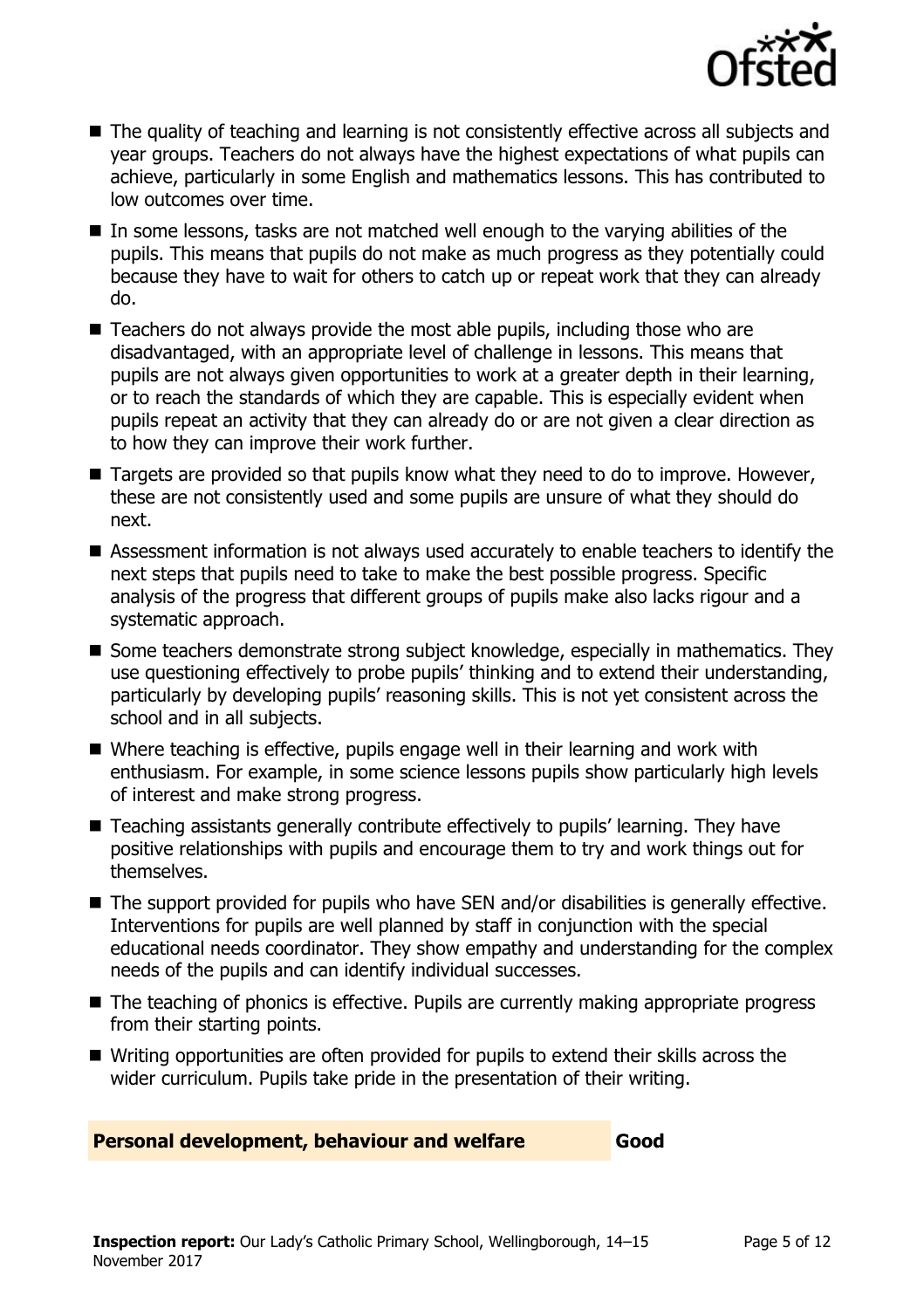

- The quality of teaching and learning is not consistently effective across all subjects and year groups. Teachers do not always have the highest expectations of what pupils can achieve, particularly in some English and mathematics lessons. This has contributed to low outcomes over time.
- In some lessons, tasks are not matched well enough to the varying abilities of the pupils. This means that pupils do not make as much progress as they potentially could because they have to wait for others to catch up or repeat work that they can already do.
- Teachers do not always provide the most able pupils, including those who are disadvantaged, with an appropriate level of challenge in lessons. This means that pupils are not always given opportunities to work at a greater depth in their learning, or to reach the standards of which they are capable. This is especially evident when pupils repeat an activity that they can already do or are not given a clear direction as to how they can improve their work further.
- Targets are provided so that pupils know what they need to do to improve. However, these are not consistently used and some pupils are unsure of what they should do next.
- Assessment information is not always used accurately to enable teachers to identify the next steps that pupils need to take to make the best possible progress. Specific analysis of the progress that different groups of pupils make also lacks rigour and a systematic approach.
- Some teachers demonstrate strong subject knowledge, especially in mathematics. They use questioning effectively to probe pupils' thinking and to extend their understanding, particularly by developing pupils' reasoning skills. This is not yet consistent across the school and in all subjects.
- Where teaching is effective, pupils engage well in their learning and work with enthusiasm. For example, in some science lessons pupils show particularly high levels of interest and make strong progress.
- Teaching assistants generally contribute effectively to pupils' learning. They have positive relationships with pupils and encourage them to try and work things out for themselves.
- The support provided for pupils who have SEN and/or disabilities is generally effective. Interventions for pupils are well planned by staff in conjunction with the special educational needs coordinator. They show empathy and understanding for the complex needs of the pupils and can identify individual successes.
- The teaching of phonics is effective. Pupils are currently making appropriate progress from their starting points.
- Writing opportunities are often provided for pupils to extend their skills across the wider curriculum. Pupils take pride in the presentation of their writing.

**Personal development, behaviour and welfare Good**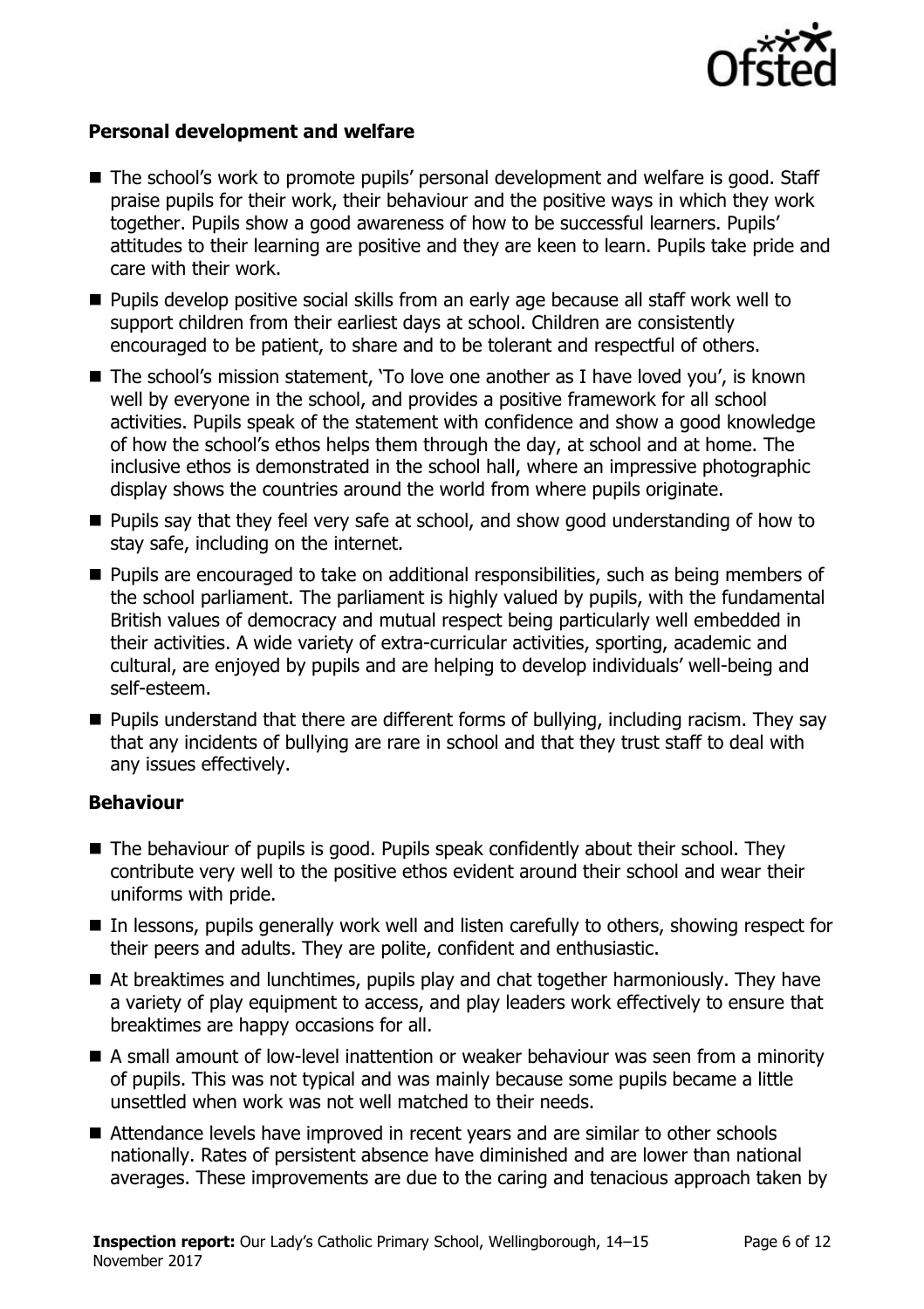

### **Personal development and welfare**

- The school's work to promote pupils' personal development and welfare is good. Staff praise pupils for their work, their behaviour and the positive ways in which they work together. Pupils show a good awareness of how to be successful learners. Pupils' attitudes to their learning are positive and they are keen to learn. Pupils take pride and care with their work.
- **Pupils develop positive social skills from an early age because all staff work well to** support children from their earliest days at school. Children are consistently encouraged to be patient, to share and to be tolerant and respectful of others.
- The school's mission statement, 'To love one another as I have loved you', is known well by everyone in the school, and provides a positive framework for all school activities. Pupils speak of the statement with confidence and show a good knowledge of how the school's ethos helps them through the day, at school and at home. The inclusive ethos is demonstrated in the school hall, where an impressive photographic display shows the countries around the world from where pupils originate.
- **Pupils say that they feel very safe at school, and show good understanding of how to** stay safe, including on the internet.
- **Pupils are encouraged to take on additional responsibilities, such as being members of** the school parliament. The parliament is highly valued by pupils, with the fundamental British values of democracy and mutual respect being particularly well embedded in their activities. A wide variety of extra-curricular activities, sporting, academic and cultural, are enjoyed by pupils and are helping to develop individuals' well-being and self-esteem.
- **Pupils understand that there are different forms of bullying, including racism. They say** that any incidents of bullying are rare in school and that they trust staff to deal with any issues effectively.

### **Behaviour**

- The behaviour of pupils is good. Pupils speak confidently about their school. They contribute very well to the positive ethos evident around their school and wear their uniforms with pride.
- In lessons, pupils generally work well and listen carefully to others, showing respect for their peers and adults. They are polite, confident and enthusiastic.
- At breaktimes and lunchtimes, pupils play and chat together harmoniously. They have a variety of play equipment to access, and play leaders work effectively to ensure that breaktimes are happy occasions for all.
- A small amount of low-level inattention or weaker behaviour was seen from a minority of pupils. This was not typical and was mainly because some pupils became a little unsettled when work was not well matched to their needs.
- Attendance levels have improved in recent vears and are similar to other schools nationally. Rates of persistent absence have diminished and are lower than national averages. These improvements are due to the caring and tenacious approach taken by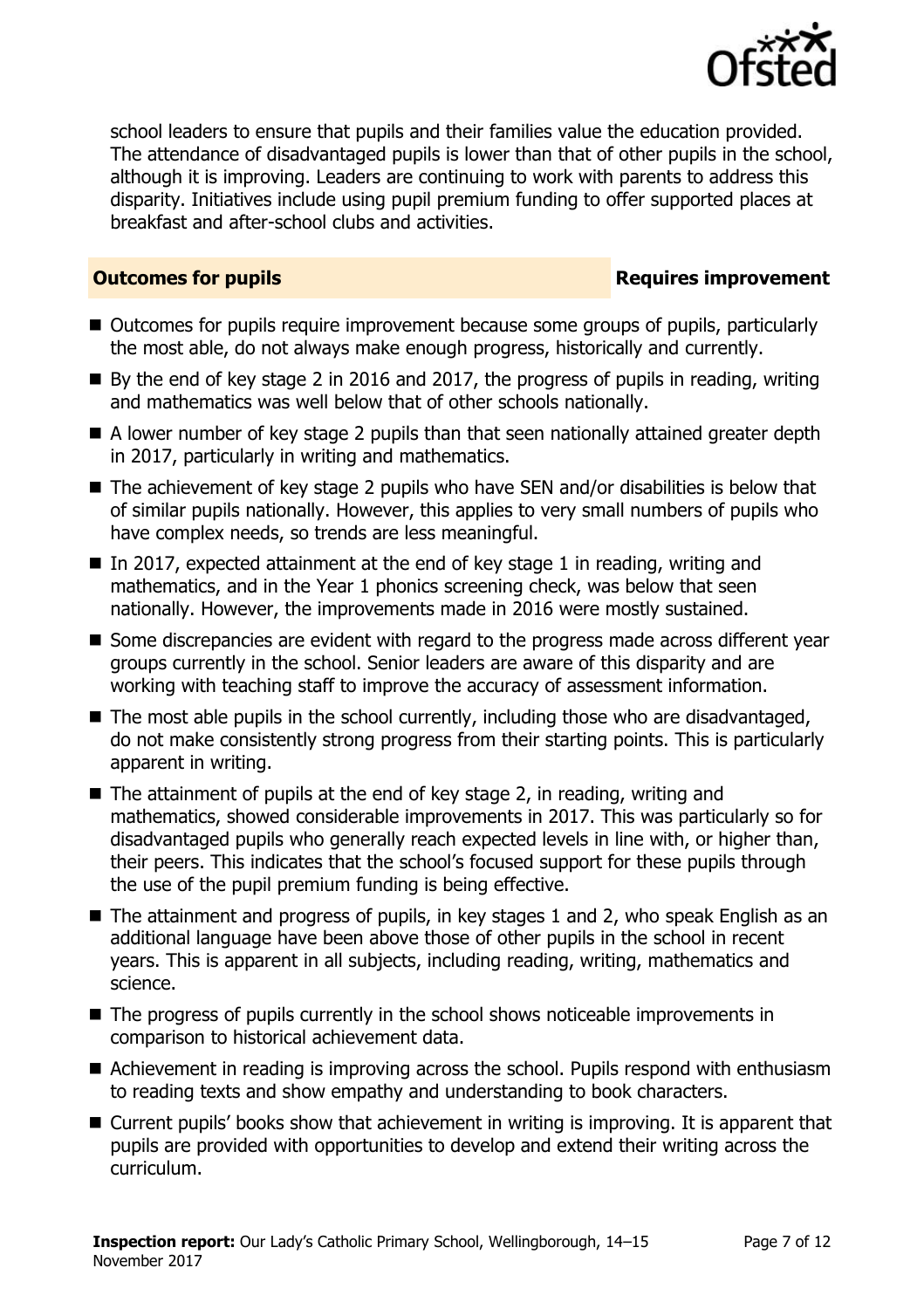

school leaders to ensure that pupils and their families value the education provided. The attendance of disadvantaged pupils is lower than that of other pupils in the school, although it is improving. Leaders are continuing to work with parents to address this disparity. Initiatives include using pupil premium funding to offer supported places at breakfast and after-school clubs and activities.

### **Outcomes for pupils Requires improvement**

- Outcomes for pupils require improvement because some groups of pupils, particularly the most able, do not always make enough progress, historically and currently.
- $\blacksquare$  By the end of key stage 2 in 2016 and 2017, the progress of pupils in reading, writing and mathematics was well below that of other schools nationally.
- A lower number of key stage 2 pupils than that seen nationally attained greater depth in 2017, particularly in writing and mathematics.
- The achievement of key stage 2 pupils who have SEN and/or disabilities is below that of similar pupils nationally. However, this applies to very small numbers of pupils who have complex needs, so trends are less meaningful.
- In 2017, expected attainment at the end of key stage 1 in reading, writing and mathematics, and in the Year 1 phonics screening check, was below that seen nationally. However, the improvements made in 2016 were mostly sustained.
- Some discrepancies are evident with regard to the progress made across different year groups currently in the school. Senior leaders are aware of this disparity and are working with teaching staff to improve the accuracy of assessment information.
- $\blacksquare$  The most able pupils in the school currently, including those who are disadvantaged, do not make consistently strong progress from their starting points. This is particularly apparent in writing.
- $\blacksquare$  The attainment of pupils at the end of key stage 2, in reading, writing and mathematics, showed considerable improvements in 2017. This was particularly so for disadvantaged pupils who generally reach expected levels in line with, or higher than, their peers. This indicates that the school's focused support for these pupils through the use of the pupil premium funding is being effective.
- The attainment and progress of pupils, in key stages 1 and 2, who speak English as an additional language have been above those of other pupils in the school in recent years. This is apparent in all subjects, including reading, writing, mathematics and science.
- The progress of pupils currently in the school shows noticeable improvements in comparison to historical achievement data.
- Achievement in reading is improving across the school. Pupils respond with enthusiasm to reading texts and show empathy and understanding to book characters.
- Current pupils' books show that achievement in writing is improving. It is apparent that pupils are provided with opportunities to develop and extend their writing across the curriculum.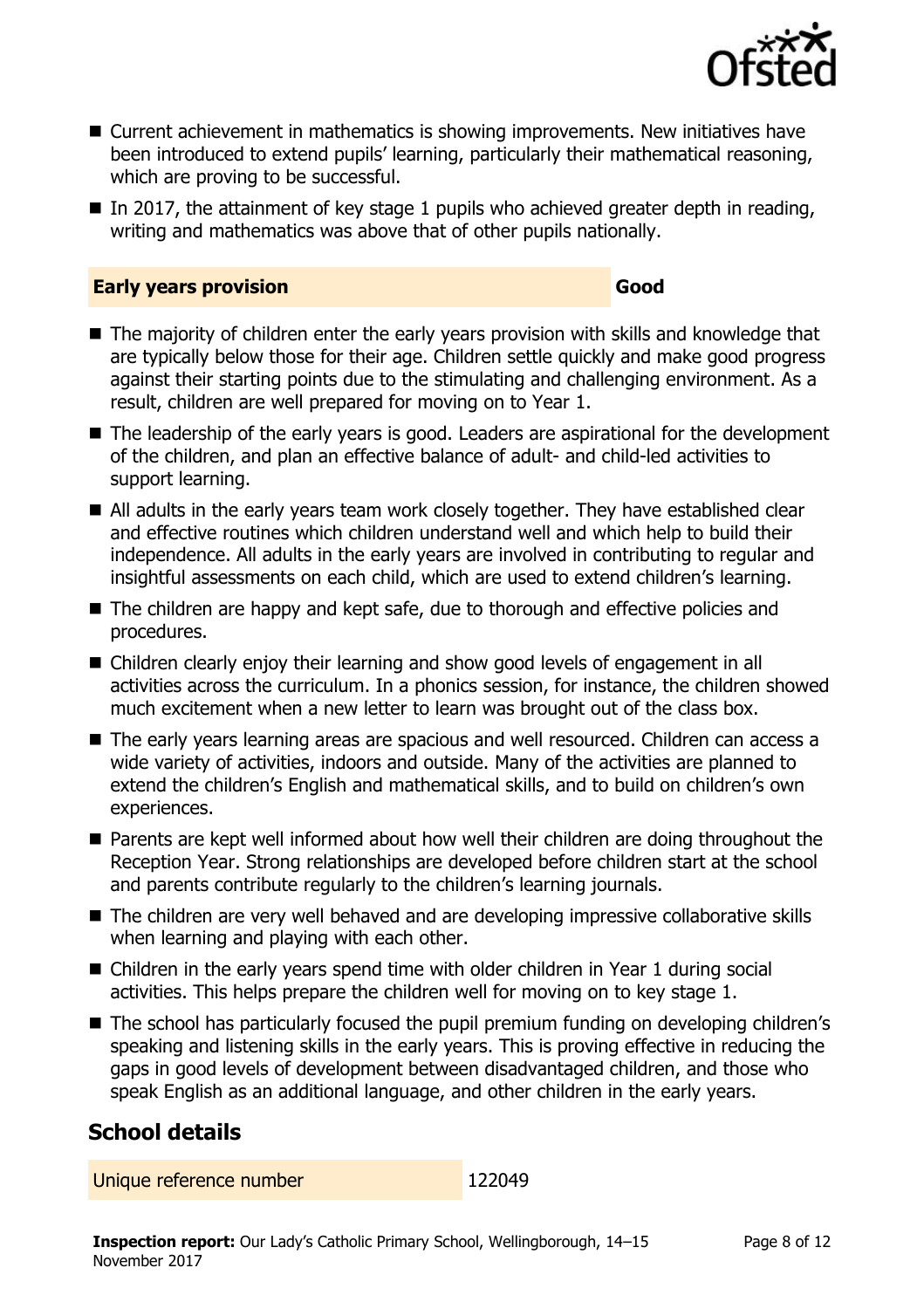

- Current achievement in mathematics is showing improvements. New initiatives have been introduced to extend pupils' learning, particularly their mathematical reasoning, which are proving to be successful.
- In 2017, the attainment of key stage 1 pupils who achieved greater depth in reading, writing and mathematics was above that of other pupils nationally.

### **Early years provision Good Good**

- The majority of children enter the early years provision with skills and knowledge that are typically below those for their age. Children settle quickly and make good progress against their starting points due to the stimulating and challenging environment. As a result, children are well prepared for moving on to Year 1.
- The leadership of the early years is good. Leaders are aspirational for the development of the children, and plan an effective balance of adult- and child-led activities to support learning.
- All adults in the early years team work closely together. They have established clear and effective routines which children understand well and which help to build their independence. All adults in the early years are involved in contributing to regular and insightful assessments on each child, which are used to extend children's learning.
- The children are happy and kept safe, due to thorough and effective policies and procedures.
- Children clearly enjoy their learning and show good levels of engagement in all activities across the curriculum. In a phonics session, for instance, the children showed much excitement when a new letter to learn was brought out of the class box.
- The early years learning areas are spacious and well resourced. Children can access a wide variety of activities, indoors and outside. Many of the activities are planned to extend the children's English and mathematical skills, and to build on children's own experiences.
- **Parents are kept well informed about how well their children are doing throughout the** Reception Year. Strong relationships are developed before children start at the school and parents contribute regularly to the children's learning journals.
- The children are very well behaved and are developing impressive collaborative skills when learning and playing with each other.
- Children in the early years spend time with older children in Year 1 during social activities. This helps prepare the children well for moving on to key stage 1.
- The school has particularly focused the pupil premium funding on developing children's speaking and listening skills in the early years. This is proving effective in reducing the gaps in good levels of development between disadvantaged children, and those who speak English as an additional language, and other children in the early years.

# **School details**

Unique reference number 122049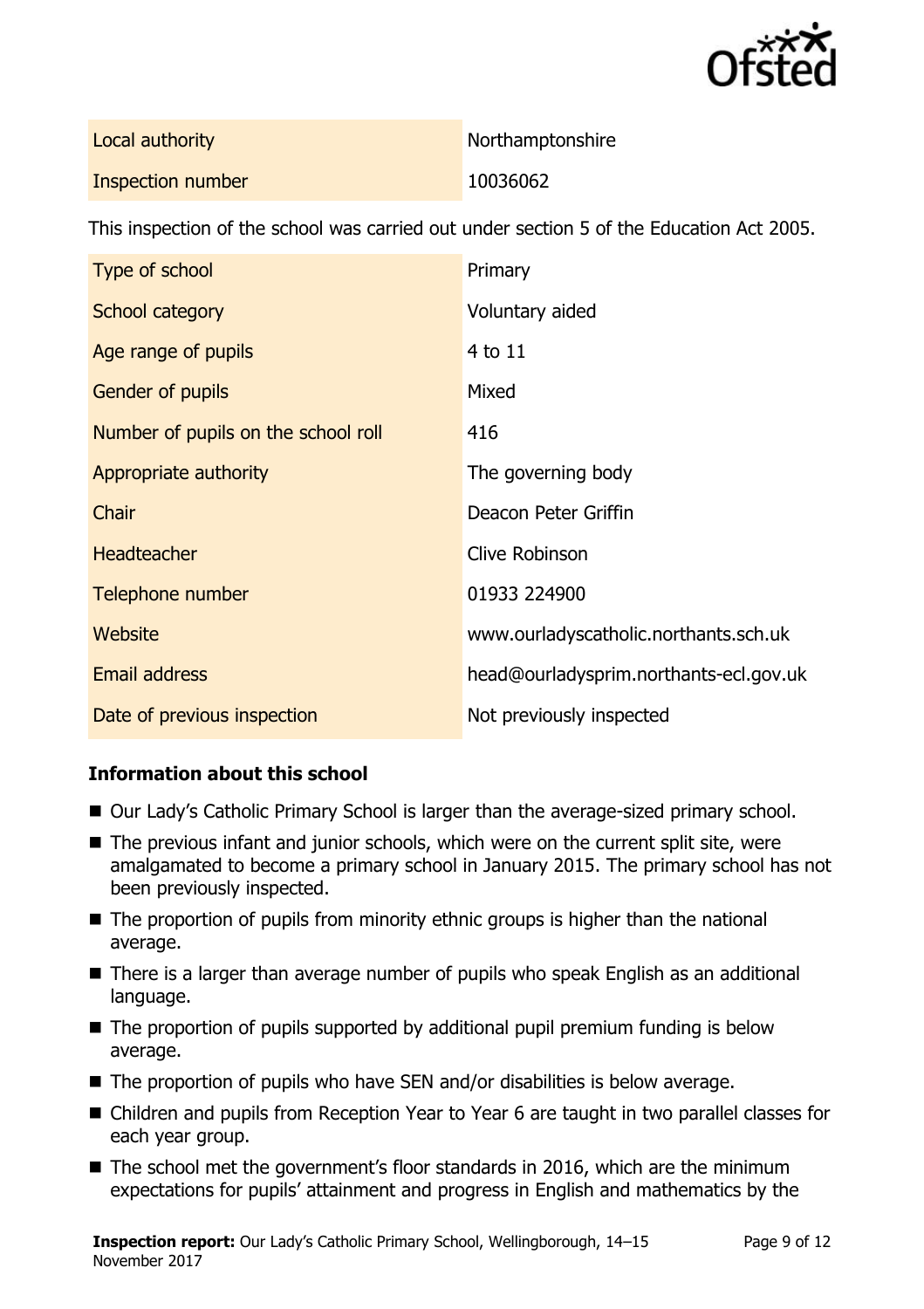

| Local authority          | Northamptonshire |
|--------------------------|------------------|
| <b>Inspection number</b> | 10036062         |

This inspection of the school was carried out under section 5 of the Education Act 2005.

| Type of school                      | Primary                                |
|-------------------------------------|----------------------------------------|
| School category                     | Voluntary aided                        |
| Age range of pupils                 | 4 to 11                                |
| <b>Gender of pupils</b>             | Mixed                                  |
| Number of pupils on the school roll | 416                                    |
| Appropriate authority               | The governing body                     |
| Chair                               | Deacon Peter Griffin                   |
| <b>Headteacher</b>                  | <b>Clive Robinson</b>                  |
| Telephone number                    | 01933 224900                           |
| Website                             | www.ourladyscatholic.northants.sch.uk  |
| Email address                       | head@ourladysprim.northants-ecl.gov.uk |
| Date of previous inspection         | Not previously inspected               |

### **Information about this school**

- Our Lady's Catholic Primary School is larger than the average-sized primary school.
- The previous infant and junior schools, which were on the current split site, were amalgamated to become a primary school in January 2015. The primary school has not been previously inspected.
- The proportion of pupils from minority ethnic groups is higher than the national average.
- There is a larger than average number of pupils who speak English as an additional language.
- The proportion of pupils supported by additional pupil premium funding is below average.
- The proportion of pupils who have SEN and/or disabilities is below average.
- Children and pupils from Reception Year to Year 6 are taught in two parallel classes for each year group.
- The school met the government's floor standards in 2016, which are the minimum expectations for pupils' attainment and progress in English and mathematics by the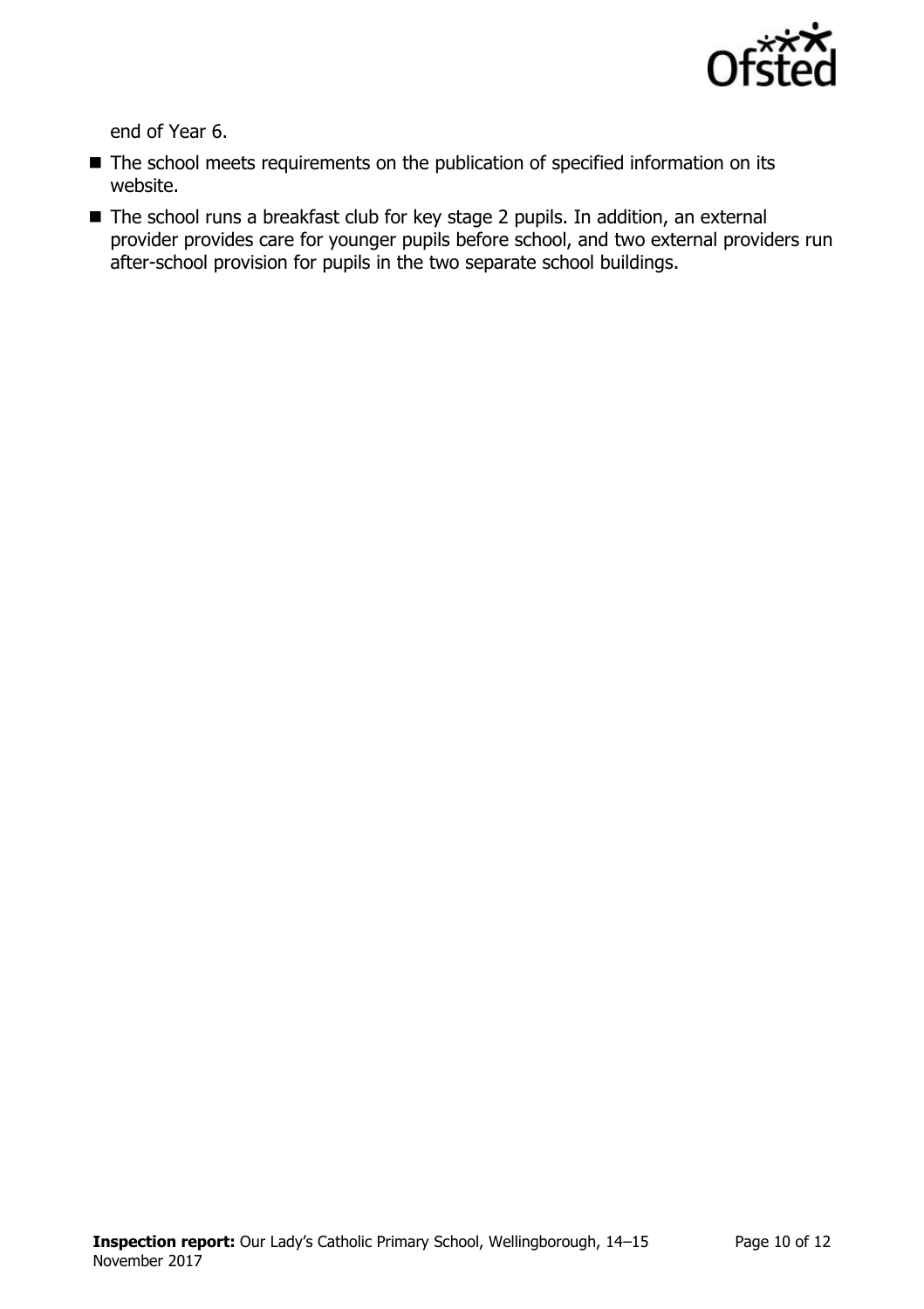

end of Year 6.

- The school meets requirements on the publication of specified information on its website.
- The school runs a breakfast club for key stage 2 pupils. In addition, an external provider provides care for younger pupils before school, and two external providers run after-school provision for pupils in the two separate school buildings.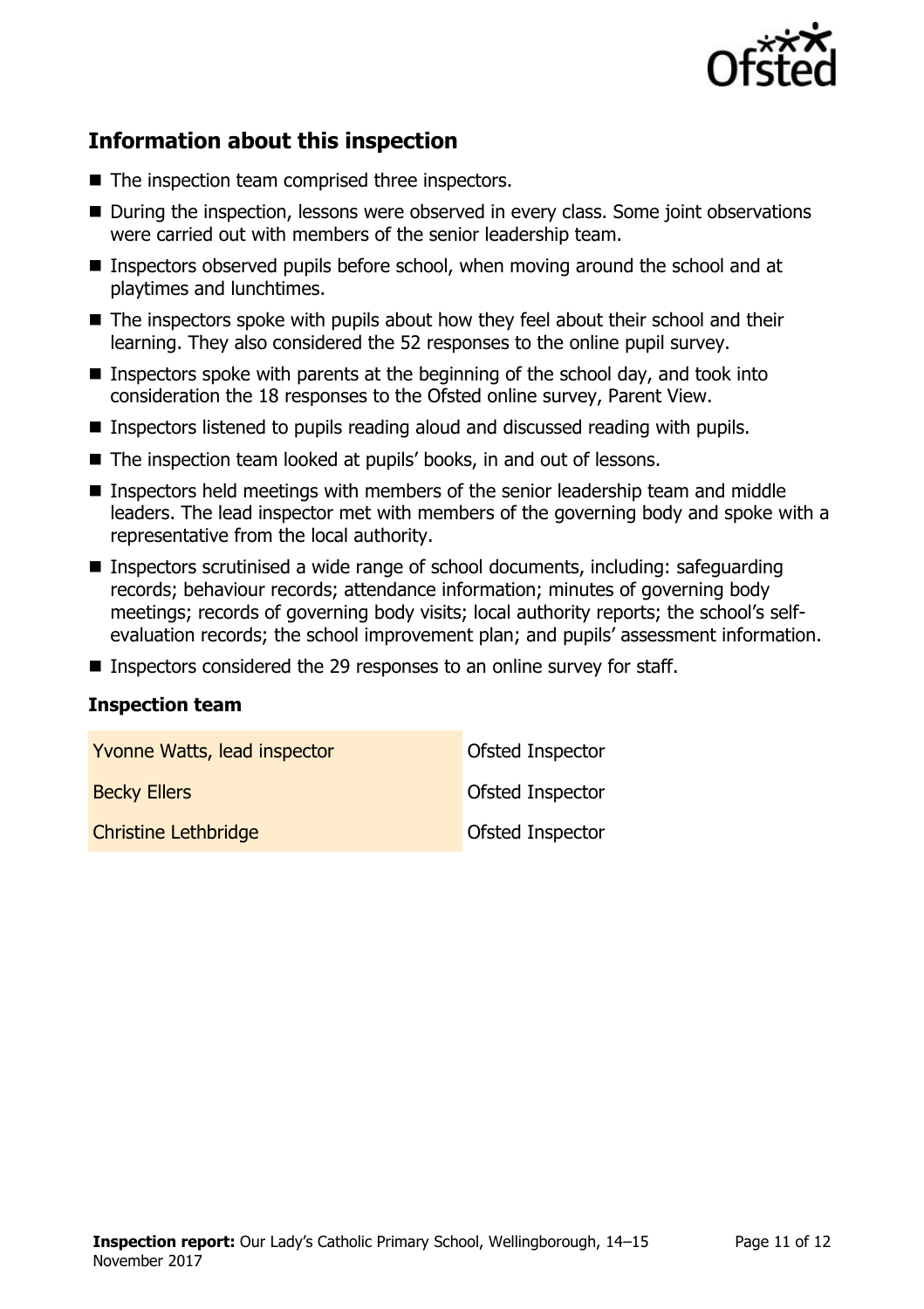

# **Information about this inspection**

- The inspection team comprised three inspectors.
- During the inspection, lessons were observed in every class. Some joint observations were carried out with members of the senior leadership team.
- Inspectors observed pupils before school, when moving around the school and at playtimes and lunchtimes.
- The inspectors spoke with pupils about how they feel about their school and their learning. They also considered the 52 responses to the online pupil survey.
- Inspectors spoke with parents at the beginning of the school day, and took into consideration the 18 responses to the Ofsted online survey, Parent View.
- Inspectors listened to pupils reading aloud and discussed reading with pupils.
- The inspection team looked at pupils' books, in and out of lessons.
- **Inspectors held meetings with members of the senior leadership team and middle** leaders. The lead inspector met with members of the governing body and spoke with a representative from the local authority.
- Inspectors scrutinised a wide range of school documents, including: safeguarding records; behaviour records; attendance information; minutes of governing body meetings; records of governing body visits; local authority reports; the school's selfevaluation records; the school improvement plan; and pupils' assessment information.
- Inspectors considered the 29 responses to an online survey for staff.

### **Inspection team**

| Yvonne Watts, lead inspector | Ofsted Inspector |
|------------------------------|------------------|
| <b>Becky Ellers</b>          | Ofsted Inspector |
| <b>Christine Lethbridge</b>  | Ofsted Inspector |